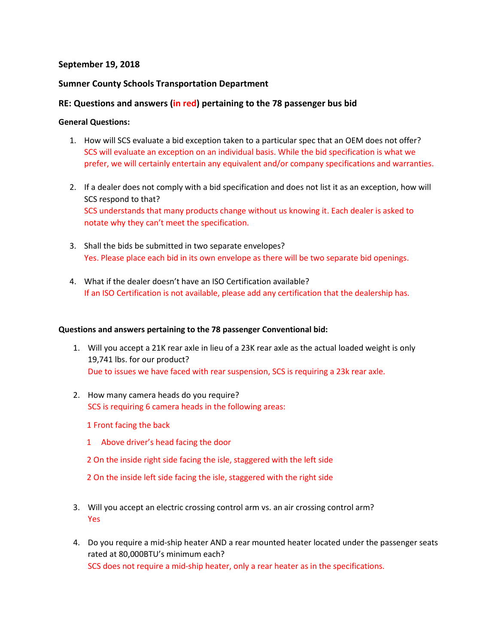# **September 19, 2018**

# **Sumner County Schools Transportation Department**

# **RE: Questions and answers (in red) pertaining to the 78 passenger bus bid**

### **General Questions:**

- 1. How will SCS evaluate a bid exception taken to a particular spec that an OEM does not offer? SCS will evaluate an exception on an individual basis. While the bid specification is what we prefer, we will certainly entertain any equivalent and/or company specifications and warranties.
- 2. If a dealer does not comply with a bid specification and does not list it as an exception, how will SCS respond to that? SCS understands that many products change without us knowing it. Each dealer is asked to notate why they can't meet the specification.
- 3. Shall the bids be submitted in two separate envelopes? Yes. Please place each bid in its own envelope as there will be two separate bid openings.
- 4. What if the dealer doesn't have an ISO Certification available? If an ISO Certification is not available, please add any certification that the dealership has.

#### **Questions and answers pertaining to the 78 passenger Conventional bid:**

- 1. Will you accept a 21K rear axle in lieu of a 23K rear axle as the actual loaded weight is only 19,741 lbs. for our product? Due to issues we have faced with rear suspension, SCS is requiring a 23k rear axle.
- 2. How many camera heads do you require? SCS is requiring 6 camera heads in the following areas:

1 Front facing the back

- 1 Above driver's head facing the door
- 2 On the inside right side facing the isle, staggered with the left side
- 2 On the inside left side facing the isle, staggered with the right side
- 3. Will you accept an electric crossing control arm vs. an air crossing control arm? Yes
- 4. Do you require a mid-ship heater AND a rear mounted heater located under the passenger seats rated at 80,000BTU's minimum each? SCS does not require a mid-ship heater, only a rear heater as in the specifications.